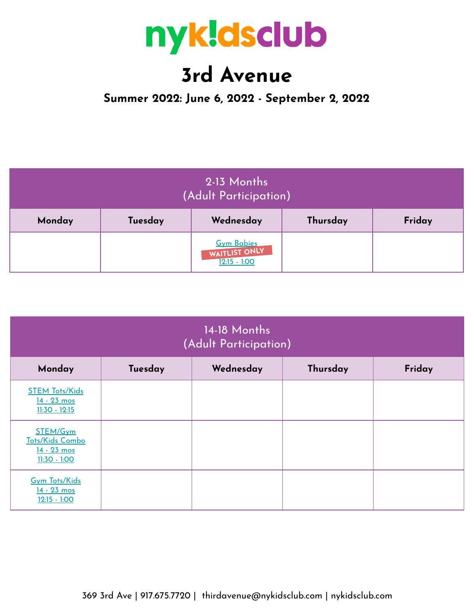

# **3rd Avenue**

**Summer 2022: June 6, 2022 - September 2, 2022**

| 2-13 Months<br>(Adult Participation) |         |                                                      |          |        |  |
|--------------------------------------|---------|------------------------------------------------------|----------|--------|--|
| Monday                               | Tuesday | Wednesday                                            | Thursday | Friday |  |
|                                      |         | <b>Gym Babies</b><br>WAITLIST ONLY<br>$12:15 - 1:00$ |          |        |  |

| 14-18 Months<br>(Adult Participation)                        |         |           |          |        |  |  |
|--------------------------------------------------------------|---------|-----------|----------|--------|--|--|
| Monday                                                       | Tuesday | Wednesday | Thursday | Friday |  |  |
| <b>STEM Tots/Kids</b><br>$14 - 23$ mos<br>$11:30 - 12:15$    |         |           |          |        |  |  |
| STEM/Gym<br>Tots/Kids Combo<br>14 - 23 mos<br>$11:30 - 1:00$ |         |           |          |        |  |  |
| <b>Gym Tots/Kids</b><br>$14 - 23$ mos<br>$12:15 - 1:00$      |         |           |          |        |  |  |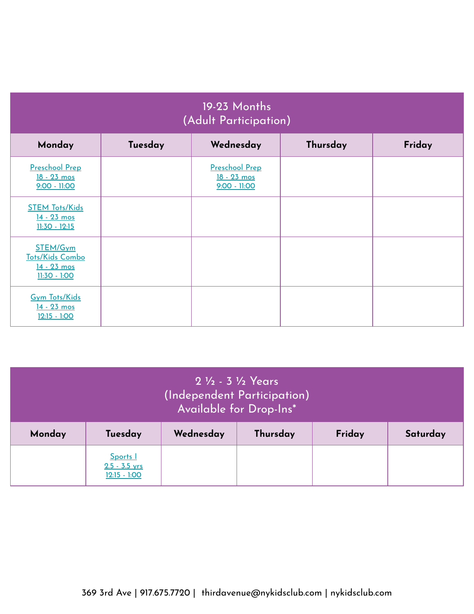| 19-23 Months<br>(Adult Participation)                        |         |                                                        |          |        |  |  |
|--------------------------------------------------------------|---------|--------------------------------------------------------|----------|--------|--|--|
| Monday                                                       | Tuesday | Wednesday                                              | Thursday | Friday |  |  |
| <b>Preschool Prep</b><br>18 - 23 mos<br>$9:00 - 11:00$       |         | <b>Preschool Prep</b><br>18 - 23 mos<br>$9:00 - 11:00$ |          |        |  |  |
| <b>STEM Tots/Kids</b><br>14 - 23 mos<br>$11:30 - 12:15$      |         |                                                        |          |        |  |  |
| STEM/Gym<br>Tots/Kids Combo<br>14 - 23 mos<br>$11:30 - 1:00$ |         |                                                        |          |        |  |  |
| <b>Gym Tots/Kids</b><br>14 - 23 mos<br>$12:15 - 1:00$        |         |                                                        |          |        |  |  |

| <u> 2 ½ - 3 ½ Years </u><br>(Independent Participation)<br>Available for Drop-Ins* |                                               |           |          |        |          |  |
|------------------------------------------------------------------------------------|-----------------------------------------------|-----------|----------|--------|----------|--|
| Monday                                                                             | Tuesday                                       | Wednesday | Thursday | Friday | Saturday |  |
|                                                                                    | Sports 1<br>$2.5 - 3.5$ yrs<br>$12:15 - 1:00$ |           |          |        |          |  |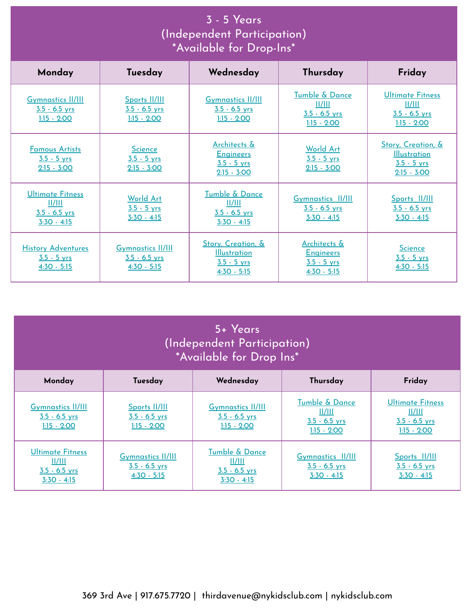# 3 - 5 Years (Independent Participation) \*Available for Drop-Ins\*

| Monday                                                                | Tuesday                                                      | Wednesday                                                                     | Thursday                                                           | Friday                                                                      |
|-----------------------------------------------------------------------|--------------------------------------------------------------|-------------------------------------------------------------------------------|--------------------------------------------------------------------|-----------------------------------------------------------------------------|
| <b>Gymnastics II/III</b><br>$3.5 - 6.5$ yrs<br>$1:15 - 2:00$          | Sports II/III<br>$3.5 - 6.5$ yrs<br>$1:15 - 2:00$            | <b>Gymnastics II/III</b><br>$3.5 - 6.5$ vrs<br>$1:15 - 2:00$                  | Tumble & Dance<br>II/III<br>$3.5 - 6.5$ yrs<br>$1:15 - 2:00$       | Ultimate Fitness<br>II/III<br>$3.5 - 6.5$ yrs<br>$1:15 - 2:00$              |
| <b>Famous Artists</b><br>$3.5 - 5$ yrs<br>$2:15 - 3:00$               | <b>Science</b><br>$3.5 - 5$ vrs<br>$2:15 - 3:00$             | <b>Architects &amp;</b><br><b>Engineers</b><br>$3.5 - 5$ vrs<br>$2:15 - 3:00$ | <b>World Art</b><br>$3.5 - 5$ yrs<br>$2:15 - 3:00$                 | Story, Creation, &<br><b>Illustration</b><br>$3.5 - 5$ vrs<br>$2:15 - 3:00$ |
| <b>Ultimate Fitness</b><br>  /   <br>$3.5 - 6.5$ yrs<br>$3:30 - 4:15$ | World Art<br>$3.5 - 5$ yrs<br>$3:30 - 4:15$                  | <b>Tumble &amp; Dance</b><br>  /   <br>$3.5 - 6.5$ yrs<br>$3:30 - 4:15$       | <b>Gymnastics II/III</b><br>$3.5 - 6.5$ yrs<br>$3:30 - 4:15$       | Sports II/III<br>$3.5 - 6.5$ yrs<br>$3:30 - 4:15$                           |
| <b>History Adventures</b><br>$3.5 - 5$ yrs<br>$4:30 - 5:15$           | <b>Gymnastics II/III</b><br>$3.5 - 6.5$ yrs<br>$4:30 - 5:15$ | Story, Creation, &<br><b>Illustration</b><br>$3.5 - 5$ yrs<br>$4:30 - 5:15$   | Architects &<br><b>Engineers</b><br>$3.5 - 5$ yrs<br>$4:30 - 5:15$ | <b>Science</b><br>$3.5 - 5$ yrs<br>$4:30 - 5:15$                            |

| 5+ Years<br>(Independent Participation)<br>*Available for Drop Ins*   |                                                              |                                                              |                                                                   |                                                                       |  |
|-----------------------------------------------------------------------|--------------------------------------------------------------|--------------------------------------------------------------|-------------------------------------------------------------------|-----------------------------------------------------------------------|--|
| Monday                                                                | Friday<br>Tuesday<br>Wednesday<br>Thursday                   |                                                              |                                                                   |                                                                       |  |
| <b>Gymnastics II/III</b><br>$3.5 - 6.5$ yrs<br>$1:15 - 2:00$          | Sports II/III<br>$3.5 - 6.5$ yrs<br>$1:15 - 2:00$            | <b>Gymnastics II/III</b><br>$3.5 - 6.5$ yrs<br>$1:15 - 2:00$ | Tumble & Dance<br>  /   <br>$3.5 - 6.5$ yrs<br>$1:15 - 2:00$      | <b>Ultimate Fitness</b><br>  /   <br>$3.5 - 6.5$ yrs<br>$1:15 - 2:00$ |  |
| <b>Ultimate Fitness</b><br>II/III<br>$3.5 - 6.5$ yrs<br>$3:30 - 4:15$ | <b>Gymnastics II/III</b><br>$3.5 - 6.5$ yrs<br>$4:30 - 5:15$ | Tumble & Dance<br>II/III<br>$3.5 - 6.5$ yrs<br>$3:30 - 4:15$ | <b>Gymnastics II/III</b><br>$3.5 - 6.5$ yrs<br><u>3:30 - 4:15</u> | Sports II/III<br>$3.5 - 6.5$ yrs<br>$3:30 - 4:15$                     |  |